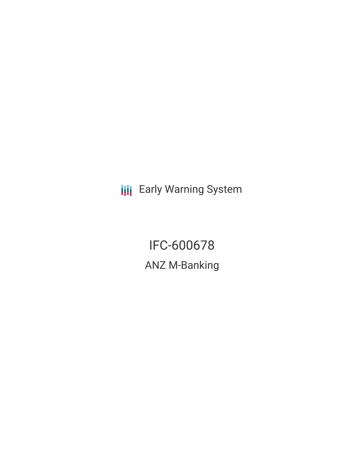**III** Early Warning System

IFC-600678 ANZ M-Banking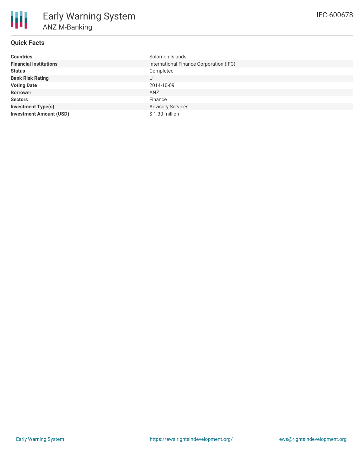# **Quick Facts**

| <b>Countries</b>               | Solomon Islands                         |  |  |  |
|--------------------------------|-----------------------------------------|--|--|--|
| <b>Financial Institutions</b>  | International Finance Corporation (IFC) |  |  |  |
| <b>Status</b>                  | Completed                               |  |  |  |
| <b>Bank Risk Rating</b>        | U                                       |  |  |  |
| <b>Voting Date</b>             | 2014-10-09                              |  |  |  |
| <b>Borrower</b>                | <b>ANZ</b>                              |  |  |  |
| <b>Sectors</b>                 | Finance                                 |  |  |  |
| <b>Investment Type(s)</b>      | <b>Advisory Services</b>                |  |  |  |
| <b>Investment Amount (USD)</b> | $$1.30$ million                         |  |  |  |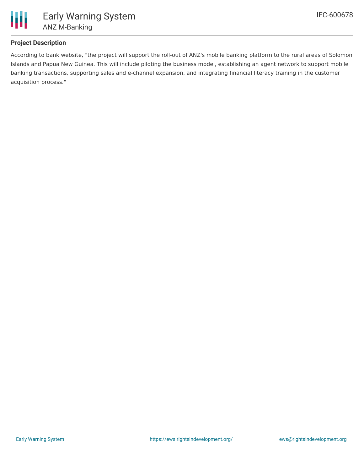

## **Project Description**

According to bank website, "the project will support the roll-out of ANZ's mobile banking platform to the rural areas of Solomon Islands and Papua New Guinea. This will include piloting the business model, establishing an agent network to support mobile banking transactions, supporting sales and e-channel expansion, and integrating financial literacy training in the customer acquisition process."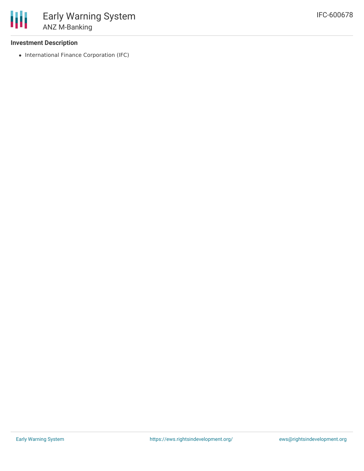### **Investment Description**

• International Finance Corporation (IFC)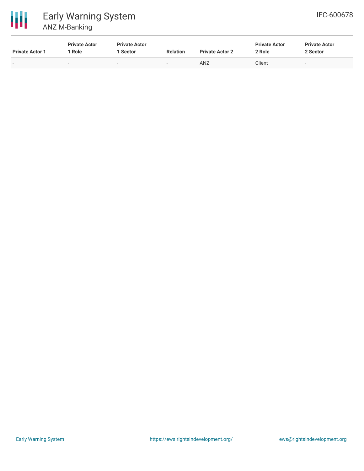

| <b>Private Actor 1</b> | <b>Private Actor</b><br>Role | <b>Private Actor</b><br>Sector | <b>Relation</b>          | <b>Private Actor 2</b> | <b>Private Actor</b><br>2 Role | <b>Private Actor</b><br>2 Sector |
|------------------------|------------------------------|--------------------------------|--------------------------|------------------------|--------------------------------|----------------------------------|
| $\,$                   | $\overline{\phantom{a}}$     | $\sim$                         | $\overline{\phantom{0}}$ | ANZ                    | Client                         | -                                |